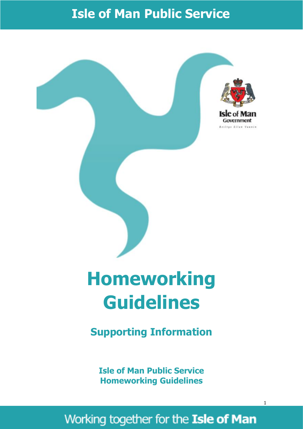# **Isle of Man Public Service**



# **Guidelines**

**Supporting Information**

**Isle of Man Public Service Homeworking Guidelines**

# Working together for the Isle of Man

1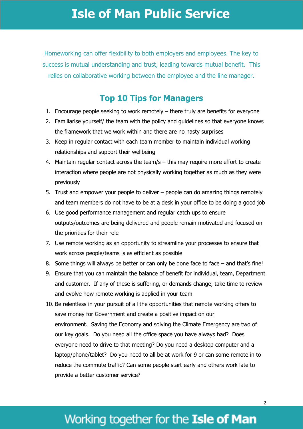### **Isle of Man Public Service**

Homeworking can offer flexibility to both employers and employees. The key to success is mutual understanding and trust, leading towards mutual benefit. This relies on collaborative working between the employee and the line manager.

#### **Top 10 Tips for Managers**

- 1. Encourage people seeking to work remotely there truly are benefits for everyone
- 2. Familiarise yourself/ the team with the policy and guidelines so that everyone knows the framework that we work within and there are no nasty surprises
- 3. Keep in regular contact with each team member to maintain individual working relationships and support their wellbeing
- 4. Maintain regular contact across the team/s this may require more effort to create interaction where people are not physically working together as much as they were previously
- 5. Trust and empower your people to deliver people can do amazing things remotely and team members do not have to be at a desk in your office to be doing a good job
- 6. Use good performance management and regular catch ups to ensure outputs/outcomes are being delivered and people remain motivated and focused on the priorities for their role
- 7. Use remote working as an opportunity to streamline your processes to ensure that work across people/teams is as efficient as possible
- 8. Some things will always be better or can only be done face to face and that's fine!
- 9. Ensure that you can maintain the balance of benefit for individual, team, Department and customer. If any of these is suffering, or demands change, take time to review and evolve how remote working is applied in your team
- 10. Be relentless in your pursuit of all the opportunities that remote working offers to save money for Government and create a positive impact on our environment. Saving the Economy and solving the Climate Emergency are two of our key goals. Do you need all the office space you have always had? Does everyone need to drive to that meeting? Do you need a desktop computer and a laptop/phone/tablet? Do you need to all be at work for 9 or can some remote in to reduce the commute traffic? Can some people start early and others work late to provide a better customer service?

# Working together for the Isle of Man